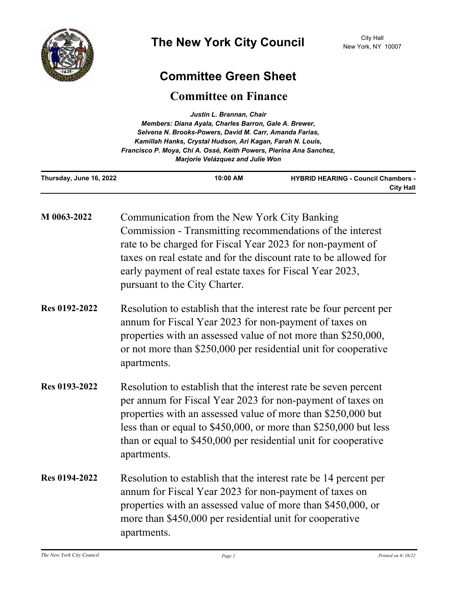

## **Committee Green Sheet**

## **Committee on Finance**

| Justin L. Brannan, Chair<br>Members: Diana Ayala, Charles Barron, Gale A. Brewer,<br>Selvena N. Brooks-Powers, David M. Carr, Amanda Farias,<br>Kamillah Hanks, Crystal Hudson, Ari Kagan, Farah N. Louis,<br>Francisco P. Moya, Chi A. Ossé, Keith Powers, Pierina Ana Sanchez,<br>Marjorie Velázquez and Julie Won |                                                                                                                                                                                                                                                                                                                                                     |                                                                |
|----------------------------------------------------------------------------------------------------------------------------------------------------------------------------------------------------------------------------------------------------------------------------------------------------------------------|-----------------------------------------------------------------------------------------------------------------------------------------------------------------------------------------------------------------------------------------------------------------------------------------------------------------------------------------------------|----------------------------------------------------------------|
| Thursday, June 16, 2022                                                                                                                                                                                                                                                                                              | 10:00 AM                                                                                                                                                                                                                                                                                                                                            | <b>HYBRID HEARING - Council Chambers -</b><br><b>City Hall</b> |
| M 0063-2022                                                                                                                                                                                                                                                                                                          | Communication from the New York City Banking<br>Commission - Transmitting recommendations of the interest<br>rate to be charged for Fiscal Year 2023 for non-payment of<br>taxes on real estate and for the discount rate to be allowed for<br>early payment of real estate taxes for Fiscal Year 2023,<br>pursuant to the City Charter.            |                                                                |
| Res 0192-2022                                                                                                                                                                                                                                                                                                        | Resolution to establish that the interest rate be four percent per<br>annum for Fiscal Year 2023 for non-payment of taxes on<br>properties with an assessed value of not more than \$250,000,<br>or not more than \$250,000 per residential unit for cooperative<br>apartments.                                                                     |                                                                |
| Res 0193-2022                                                                                                                                                                                                                                                                                                        | Resolution to establish that the interest rate be seven percent<br>per annum for Fiscal Year 2023 for non-payment of taxes on<br>properties with an assessed value of more than \$250,000 but<br>less than or equal to \$450,000, or more than \$250,000 but less<br>than or equal to \$450,000 per residential unit for cooperative<br>apartments. |                                                                |
| <b>Res 0194-2022</b>                                                                                                                                                                                                                                                                                                 | Resolution to establish that the interest rate be 14 percent per<br>annum for Fiscal Year 2023 for non-payment of taxes on<br>properties with an assessed value of more than \$450,000, or<br>more than \$450,000 per residential unit for cooperative<br>apartments.                                                                               |                                                                |